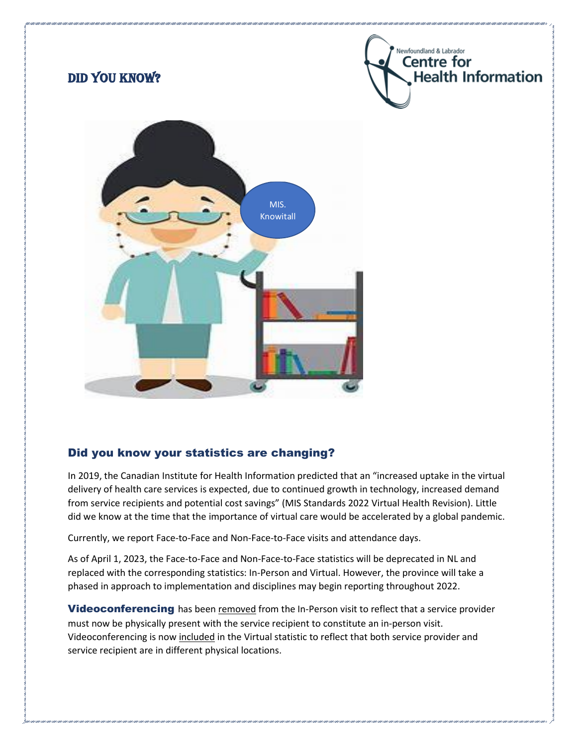

## Did you know your statistics are changing?

In 2019, the Canadian Institute for Health Information predicted that an "increased uptake in the virtual delivery of health care services is expected, due to continued growth in technology, increased demand from service recipients and potential cost savings" (MIS Standards 2022 Virtual Health Revision). Little did we know at the time that the importance of virtual care would be accelerated by a global pandemic.

Currently, we report Face-to-Face and Non-Face-to-Face visits and attendance days.

As of April 1, 2023, the Face-to-Face and Non-Face-to-Face statistics will be deprecated in NL and replaced with the corresponding statistics: In-Person and Virtual. However, the province will take a phased in approach to implementation and disciplines may begin reporting throughout 2022.

**Videoconferencing** has been removed from the In-Person visit to reflect that a service provider must now be physically present with the service recipient to constitute an in-person visit. Videoconferencing is now included in the Virtual statistic to reflect that both service provider and service recipient are in different physical locations.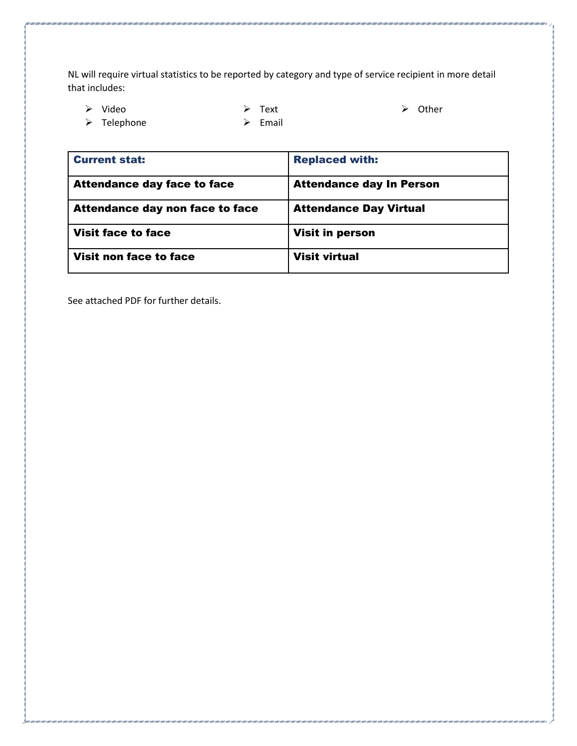NL will require virtual statistics to be reported by category and type of service recipient in more detail that includes:

➢ Video

➢ Text

➢ Other

➢ Telephone

➢ Email

| <b>Current stat:</b>               | <b>Replaced with:</b>           |
|------------------------------------|---------------------------------|
| <b>Attendance day face to face</b> | <b>Attendance day In Person</b> |
| Attendance day non face to face    | <b>Attendance Day Virtual</b>   |
| <b>Visit face to face</b>          | <b>Visit in person</b>          |
| Visit non face to face             | <b>Visit virtual</b>            |

r ann a ann a ann a ann a ann a ann a ann a ann a ann a ann a ann a ann a ann a ann a ann a ann a ann a

See attached PDF for further details.